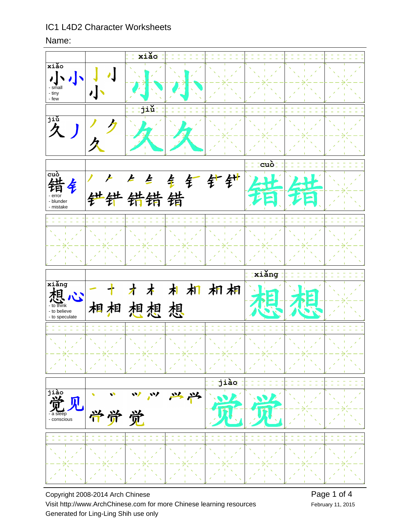## Name:



Copyright 2008-2014 Arch Chinese Visit http://www.ArchChinese.com for more Chinese learning resources Generated for Ling-Ling Shih use only

February 11, 2015 Page 1 of 4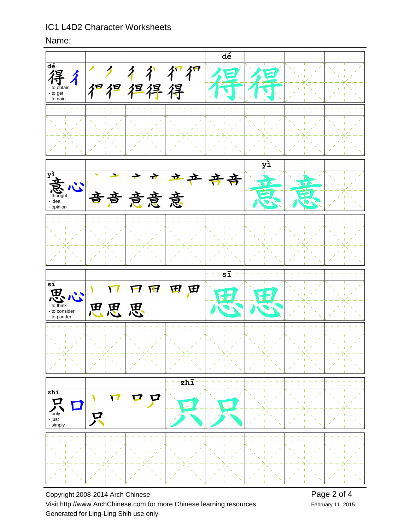Name:



Copyright 2008-2014 Arch Chinese Visit http://www.ArchChinese.com for more Chinese learning resources Generated for Ling-Ling Shih use only

February 11, 2015 Page 2 of 4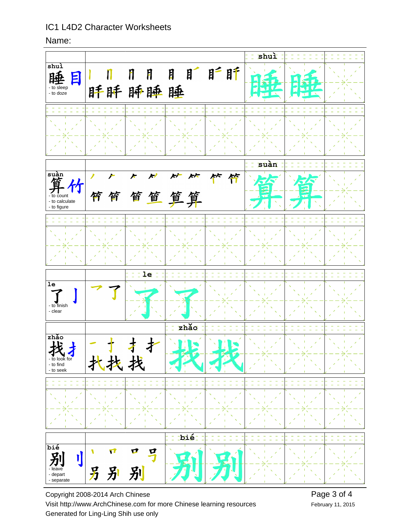Name:



Copyright 2008-2014 Arch Chinese Visit http://www.ArchChinese.com for more Chinese learning resources Generated for Ling-Ling Shih use only

February 11, 2015 Page 3 of 4